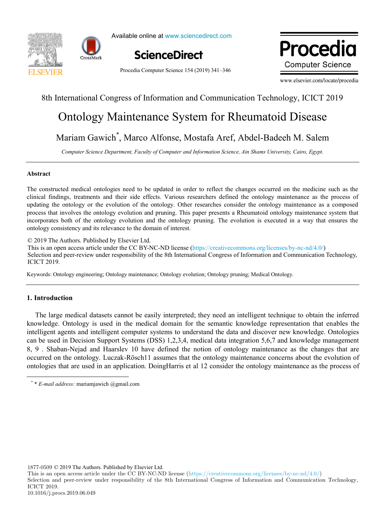



Available online at www.sciencedirect.com



Procedia Computer Science 154 (2019) 341–346

www.elsevier.com/locate/procediate/procediate/procediate/procediate/procediate/ Drocadic **Computer Science** 

8th International Congress of Information and Communication Technology (ICICT-2019)

# 8th International Congress of Information and Communication Technology, ICICT 2019

# Ontology Maintenance System for Rheumatoid Disease  $\overline{O}(t)$  Mintenance System for  $\overline{O}(t)$ Ontology Maintenance System for Rheumatoid Disease

# h<sup>\*</sup>, Marco Alfonse, Mostafa Aref, Abdel-Baq  $\mathcal{M}$ *Computer Science Department, Faculty of Computer and Information Science, Ain Shams University, Cairo, Egypt.* Mariam Gawich\* , Marco Alfonse, Mostafa Aref, Abdel-Badeeh M. Salem

Computer Science Department, Faculty of Computer and Information Science, Ain Shams University, Cairo, Egypt.<br>.

# **Abstract Abstract**

The constructed medical ontologies need to be updated in order to reflect the changes occurred on the medicine such as the updating the ontology or the evolution of the ontology. Other researches consider the ontology maintenance as a composed process that involves the ontology evolution and pruning. This paper presents a Rheumatoid ontology maintenance system that incorporates both of the ontology evolution and the ontology pruning. The evolution is executed in a way that ensures the ontology consistency and its relevance to the domain of interest. clinical findings, treatments and their side effects. Various researchers defined the ontology maintenance as the process of

© 2019 The Authors. Published by Elsevier Ltd.

Section 2019 The Additions. Fubrished by Eisevier Etd.<br>This is an open access article under the CC BY-NC-ND license (https://creativecommons.org/licenses/by-nc-nd/4.0/) Selection and peer-review under responsibility of the 8th International Congress of Information and Communication Technology, ICICT 2019.  $T$ is an open access article under the CCC BY-NC-ND licenses (https://creativecommons.org/licenses/by-nc-nd-4.0/) and  $T$  $P = P(\text{P}|\text{P})$  of organizing committee of the 8th International Congress of International Communication and Communication and Communication and Communication and Communication and Communication and Communication and Comm

Peer-review under responsibility of organizing committee of the 8th International Congress of Information and Communication Keywords: Ontology engineering; Ontology maintenance; Ontology evolution; Ontology pruning; Medical Ontology. Keywords: Ontology engineering; Ontology maintenance; Ontology evolution; Ontology pruning; Medical Ontology.

# **1. Introduction**

knowledge. Ontology is used in the medical domain for the semantic knowledge representation that enables the intelligent computer systems to understand the data and discover new knowledge. Ontologies intelligent agents and intelligent computer systems to understand the data and discover new knowledge. Ontologies can be used in Decision Support Systems (DSS) 1,2,3,4, medical data integration 5,6,7 and knowledge management 8, 9 . Shaban-Nejad and Haarslev 10 have defined the notion of ontology maintenance as the changes that are  $\frac{1}{1}$  direction: computer application: computer application: computer application: computer application technology; occurred on the ontology. Luczak-Rösch11 assumes that the ontology maintenance concerns about the evolution of ontologies that are used in an application. DoingHarris et al 12 consider the ontology maintenance as the process of The large medical datasets cannot be easily interpreted; they need an intelligent technique to obtain the inferred knowledge. Ontology is used in the medical domain for the semantic knowledge representation that enables the<br>intelligent agents and intelligent computer systems to understand the data and discover new knowledge. Ontologies

Interaction Design" (18DWYJ01);Jiangsu Province Academic Degree College Graduate innovation projects "Design Art Research of Su Zuo

1877-0509 © 2019 The Authors. Published by Elsevier Ltd.

This is an open access article under the CC BY-NC-ND license (https://creativecommons.org/licenses/by-nc-nd/4.0/)

Selection and peer-review under responsibility of the 8th International Congress of Information and Communication Technology, ICICT 2019.

**<sup>\* \*</sup>** *E-mail address:* **mariamjawich @gmail.com**  $\mathcal{S}$ : Shandong Business Institute,  $\mathcal{S}$ \* \* *E-mail address:* mariamjawich @gmail.com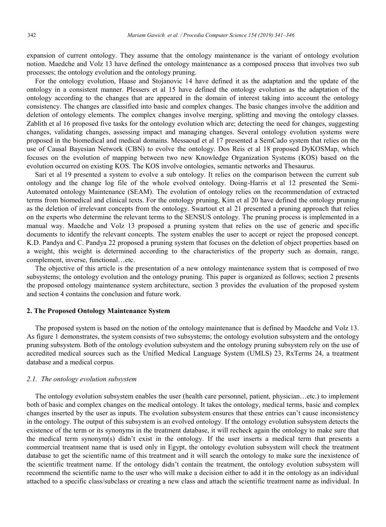expansion of current ontology. They assume that the ontology maintenance is the variant of ontology evolution notion. Maedche and Volz 13 have defined the ontology maintenance as a composed process that involves two sub processes; the ontology evolution and the ontology pruning.

For the ontology evolution, Haase and Stojanovic 14 have defined it as the adaptation and the update of the ontology in a consistent manner. Plessers et al 15 have defined the ontology evolution as the adaptation of the ontology according to the changes that are appeared in the domain of interest taking into account the ontology consistency. The changes are classified into basic and complex changes. The basic changes involve the addition and deletion of ontology elements. The complex changes involve merging, splitting and moving the ontology classes. Zablith et al 16 proposed five tasks for the ontology evolution which are; detecting the need for changes, suggesting changes, validating changes, assessing impact and managing changes. Several ontology evolution systems were proposed in the biomedical and medical domains. Messaoud et al 17 presented a SemCado system that relies on the use of Causal Bayesian Network (CBN) to evolve the ontology. Dos Reis et al 18 proposed DyKOSMap, which focuses on the evolution of mapping between two new Knowledge Organization Systems (KOS) based on the evolution occurred on existing KOS. The KOS involve ontologies, semantic networks and Thesaurus.

Sari et al 19 presented a system to evolve a sub ontology. It relies on the comparison between the current sub ontology and the change log file of the whole evolved ontology. Doing-Harris et al 12 presented the Semi-Automated ontology Maintenance (SEAM). The evolution of ontology relies on the recommendation of extracted terms from biomedical and clinical texts. For the ontology pruning, Kim et al 20 have defined the ontology pruning as the deletion of irrelevant concepts from the ontology. Swartout et al 21 presented a pruning approach that relies on the experts who determine the relevant terms to the SENSUS ontology. The pruning process is implemented in a manual way. Maedche and Volz 13 proposed a pruning system that relies on the use of generic and specific documents to identify the relevant concepts. The system enables the user to accept or reject the proposed concept. K.D. Pandya and C. Pandya 22 proposed a pruning system that focuses on the deletion of object properties based on a weight, this weight is determined according to the characteristics of the property such as domain, range, complement, inverse, functional…etc.

The objective of this article is the presentation of a new ontology maintenance system that is composed of two subsystems; the ontology evolution and the ontology pruning. This paper is organized as follows; section 2 presents the proposed ontology maintenance system architecture, section 3 provides the evaluation of the proposed system and section 4 contains the conclusion and future work.

#### **2. The Proposed Ontology Maintenance System**

The proposed system is based on the notion of the ontology maintenance that is defined by Maedche and Volz 13. As figure 1 demonstrates, the system consists of two subsystems; the ontology evolution subsystem and the ontology pruning subsystem. Both of the ontology evolution subsystem and the ontology pruning subsystem rely on the use of accredited medical sources such as the Unified Medical Language System (UMLS) 23, RxTerms 24, a treatment database and a medical corpus.

#### *2.1. The ontology evolution subsystem*

The ontology evolution subsystem enables the user (health care personnel, patient, physician…etc.) to implement both of basic and complex changes on the medical ontology. It takes the ontology, medical terms, basic and complex changes inserted by the user as inputs. The evolution subsystem ensures that these entries can't cause inconsistency in the ontology. The output of this subsystem is an evolved ontology. If the ontology evolution subsystem detects the existence of the term or its synonyms in the treatment database, it will recheck again the ontology to make sure that the medical term synonym(s) didn't exist in the ontology. If the user inserts a medical term that presents a commercial treatment name that is used only in Egypt, the ontology evolution subsystem will check the treatment database to get the scientific name of this treatment and it will search the ontology to make sure the inexistence of the scientific treatment name. If the ontology didn't contain the treatment, the ontology evolution subsystem will recommend the scientific name to the user who will make a decision either to add it in the ontology as an individual attached to a specific class/subclass or creating a new class and attach the scientific treatment name as individual. In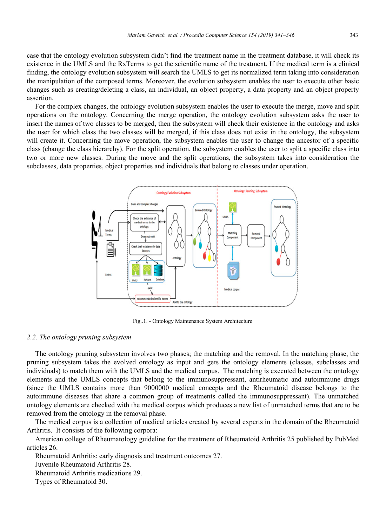case that the ontology evolution subsystem didn't find the treatment name in the treatment database, it will check its existence in the UMLS and the RxTerms to get the scientific name of the treatment. If the medical term is a clinical finding, the ontology evolution subsystem will search the UMLS to get its normalized term taking into consideration the manipulation of the composed terms. Moreover, the evolution subsystem enables the user to execute other basic changes such as creating/deleting a class, an individual, an object property, a data property and an object property assertion.

For the complex changes, the ontology evolution subsystem enables the user to execute the merge, move and split operations on the ontology. Concerning the merge operation, the ontology evolution subsystem asks the user to insert the names of two classes to be merged, then the subsystem will check their existence in the ontology and asks the user for which class the two classes will be merged, if this class does not exist in the ontology, the subsystem will create it. Concerning the move operation, the subsystem enables the user to change the ancestor of a specific class (change the class hierarchy). For the split operation, the subsystem enables the user to split a specific class into two or more new classes. During the move and the split operations, the subsystem takes into consideration the subclasses, data properties, object properties and individuals that belong to classes under operation.



Fig..1. - Ontology Maintenance System Architecture

#### *2.2. The ontology pruning subsystem*

The ontology pruning subsystem involves two phases; the matching and the removal. In the matching phase, the pruning subsystem takes the evolved ontology as input and gets the ontology elements (classes, subclasses and individuals) to match them with the UMLS and the medical corpus. The matching is executed between the ontology elements and the UMLS concepts that belong to the immunosuppressant, antirheumatic and autoimmune drugs (since the UMLS contains more than 9000000 medical concepts and the Rheumatoid disease belongs to the autoimmune diseases that share a common group of treatments called the immunosuppressant). The unmatched ontology elements are checked with the medical corpus which produces a new list of unmatched terms that are to be removed from the ontology in the removal phase.

The medical corpus is a collection of medical articles created by several experts in the domain of the Rheumatoid Arthritis. It consists of the following corpora:

American college of Rheumatology guideline for the treatment of Rheumatoid Arthritis 25 published by PubMed articles 26.

Rheumatoid Arthritis: early diagnosis and treatment outcomes 27.

Juvenile Rheumatoid Arthritis 28.

Rheumatoid Arthritis medications 29.

Types of Rheumatoid 30.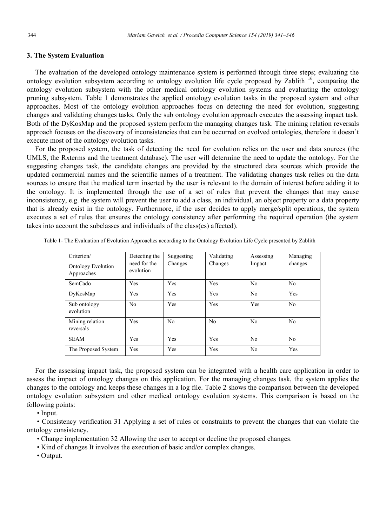## **3. The System Evaluation**

The evaluation of the developed ontology maintenance system is performed through three steps; evaluating the ontology evolution subsystem according to ontology evolution life cycle proposed by Zablith 16, comparing the ontology evolution subsystem with the other medical ontology evolution systems and evaluating the ontology pruning subsystem. Table 1 demonstrates the applied ontology evolution tasks in the proposed system and other approaches. Most of the ontology evolution approaches focus on detecting the need for evolution, suggesting changes and validating changes tasks. Only the sub ontology evolution approach executes the assessing impact task. Both of the DyKosMap and the proposed system perform the managing changes task. The mining relation reversals approach focuses on the discovery of inconsistencies that can be occurred on evolved ontologies, therefore it doesn't execute most of the ontology evolution tasks.

For the proposed system, the task of detecting the need for evolution relies on the user and data sources (the UMLS, the Rxterms and the treatment database). The user will determine the need to update the ontology. For the suggesting changes task, the candidate changes are provided by the structured data sources which provide the updated commercial names and the scientific names of a treatment. The validating changes task relies on the data sources to ensure that the medical term inserted by the user is relevant to the domain of interest before adding it to the ontology. It is implemented through the use of a set of rules that prevent the changes that may cause inconsistency, e.g. the system will prevent the user to add a class, an individual, an object property or a data property that is already exist in the ontology. Furthermore, if the user decides to apply merge/split operations, the system executes a set of rules that ensures the ontology consistency after performing the required operation (the system takes into account the subclasses and individuals of the class(es) affected).

| Criterion/<br><b>Ontology Evolution</b><br>Approaches | Detecting the<br>need for the<br>evolution | Suggesting<br>Changes | Validating<br>Changes | Assessing<br>Impact | Managing<br>changes |
|-------------------------------------------------------|--------------------------------------------|-----------------------|-----------------------|---------------------|---------------------|
| SemCado                                               | <b>Yes</b>                                 | Yes                   | Yes                   | N <sub>0</sub>      | N <sub>0</sub>      |
| DyKosMap                                              | Yes                                        | Yes                   | Yes                   | N <sub>o</sub>      | Yes                 |
| Sub ontology<br>evolution                             | N <sub>0</sub>                             | Yes                   | Yes                   | Yes                 | N <sub>0</sub>      |
| Mining relation<br>reversals                          | <b>Yes</b>                                 | N <sub>o</sub>        | N <sub>0</sub>        | N <sub>o</sub>      | N <sub>0</sub>      |
| <b>SEAM</b>                                           | Yes                                        | Yes                   | Yes                   | N <sub>o</sub>      | N <sub>0</sub>      |
| The Proposed System                                   | Yes                                        | Yes                   | Yes                   | N <sub>o</sub>      | Yes                 |

Table 1- The Evaluation of Evolution Approaches according to the Ontology Evolution Life Cycle presented by Zablith

For the assessing impact task, the proposed system can be integrated with a health care application in order to assess the impact of ontology changes on this application. For the managing changes task, the system applies the changes to the ontology and keeps these changes in a log file. Table 2 shows the comparison between the developed ontology evolution subsystem and other medical ontology evolution systems. This comparison is based on the following points:

• Input.

• Consistency verification 31 Applying a set of rules or constraints to prevent the changes that can violate the ontology consistency.

• Change implementation 32 Allowing the user to accept or decline the proposed changes.

• Kind of changes It involves the execution of basic and/or complex changes.

• Output.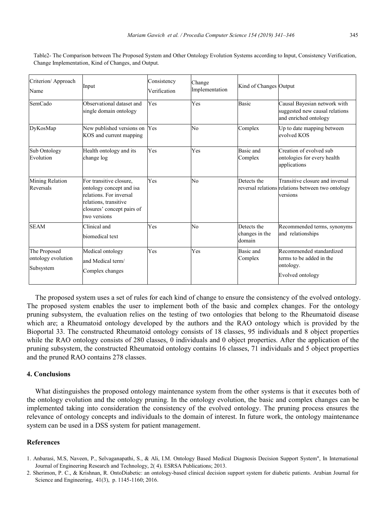| Criterion/ Approach<br>Name                     | Input                                                                                                                                                 | Consistency<br>Verification | Change<br>Implementation | Kind of Changes Output                  |                                                                                                  |
|-------------------------------------------------|-------------------------------------------------------------------------------------------------------------------------------------------------------|-----------------------------|--------------------------|-----------------------------------------|--------------------------------------------------------------------------------------------------|
| SemCado                                         | Observational dataset and<br>single domain ontology                                                                                                   | Yes                         | Yes                      | <b>Basic</b>                            | Causal Bayesian network with<br>suggested new causal relations<br>and enriched ontology          |
| DyKosMap                                        | New published versions on<br>KOS and current mapping                                                                                                  | Yes                         | No                       | Complex                                 | Up to date mapping between<br>evolved KOS                                                        |
| Sub Ontology<br>Evolution                       | Health ontology and its<br>change log                                                                                                                 | Yes                         | Yes                      | Basic and<br>Complex                    | Creation of evolved sub<br>ontologies for every health<br>applications                           |
| Mining Relation<br>Reversals                    | For transitive closure,<br>ontology concept and isa<br>relations. For inversal<br>relations, transitive<br>closures' concept pairs of<br>two versions | Yes                         | No                       | Detects the                             | Transitive closure and inversal<br>reversal relations relations between two ontology<br>versions |
| <b>SEAM</b>                                     | Clinical and<br>biomedical text                                                                                                                       | Yes                         | No                       | Detects the<br>changes in the<br>domain | Recommended terms, synonyms<br>and relationships                                                 |
| The Proposed<br>ontology evolution<br>Subsystem | Medical ontology<br>and Medical term/<br>Complex changes                                                                                              | Yes                         | Yes                      | Basic and<br>Complex                    | Recommended standardized<br>terms to be added in the<br>ontology.<br>Evolved ontology            |

Table2- The Comparison between The Proposed System and Other Ontology Evolution Systems according to Input, Consistency Verification, Change Implementation, Kind of Changes, and Output.

The proposed system uses a set of rules for each kind of change to ensure the consistency of the evolved ontology. The proposed system enables the user to implement both of the basic and complex changes. For the ontology pruning subsystem, the evaluation relies on the testing of two ontologies that belong to the Rheumatoid disease which are; a Rheumatoid ontology developed by the authors and the RAO ontology which is provided by the Bioportal 33. The constructed Rheumatoid ontology consists of 18 classes, 95 individuals and 8 object properties while the RAO ontology consists of 280 classes, 0 individuals and 0 object properties. After the application of the pruning subsystem, the constructed Rheumatoid ontology contains 16 classes, 71 individuals and 5 object properties and the pruned RAO contains 278 classes.

## **4. Conclusions**

What distinguishes the proposed ontology maintenance system from the other systems is that it executes both of the ontology evolution and the ontology pruning. In the ontology evolution, the basic and complex changes can be implemented taking into consideration the consistency of the evolved ontology. The pruning process ensures the relevance of ontology concepts and individuals to the domain of interest. In future work, the ontology maintenance system can be used in a DSS system for patient management.

## **References**

<sup>1.</sup> Anbarasi, M.S, Naveen, P., Selvaganapathi, S., & Ali, I.M. Ontology Based Medical Diagnosis Decision Support System", In International Journal of Engineering Research and Technology, 2( 4). ESRSA Publications; 2013.

<sup>2.</sup> Sherimon, P. C., & Krishnan, R. OntoDiabetic: an ontology-based clinical decision support system for diabetic patients. Arabian Journal for Science and Engineering, 41(3), p. 1145-1160; 2016.